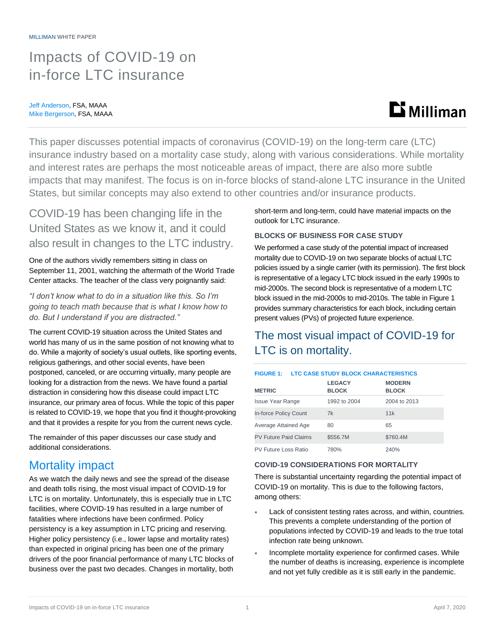## Impacts of COVID-19 on in-force LTC insurance

#### Jeff Anderson, FSA, MAAA Mike Bergerson, FSA, MAAA

# **Li** Milliman

This paper discusses potential impacts of coronavirus (COVID-19) on the long-term care (LTC) insurance industry based on a mortality case study, along with various considerations. While mortality and interest rates are perhaps the most noticeable areas of impact, there are also more subtle impacts that may manifest. The focus is on in-force blocks of stand-alone LTC insurance in the United States, but similar concepts may also extend to other countries and/or insurance products.

COVID-19 has been changing life in the United States as we know it, and it could also result in changes to the LTC industry.

One of the authors vividly remembers sitting in class on September 11, 2001, watching the aftermath of the World Trade Center attacks. The teacher of the class very poignantly said:

*"I don't know what to do in a situation like this. So I'm going to teach math because that is what I know how to do. But I understand if you are distracted."*

The current COVID-19 situation across the United States and world has many of us in the same position of not knowing what to do. While a majority of society's usual outlets, like sporting events, religious gatherings, and other social events, have been postponed, canceled, or are occurring virtually, many people are looking for a distraction from the news. We have found a partial distraction in considering how this disease could impact LTC insurance, our primary area of focus. While the topic of this paper is related to COVID-19, we hope that you find it thought-provoking and that it provides a respite for you from the current news cycle.

The remainder of this paper discusses our case study and additional considerations.

## Mortality impact

As we watch the daily news and see the spread of the disease and death tolls rising, the most visual impact of COVID-19 for LTC is on mortality. Unfortunately, this is especially true in LTC facilities, where COVID-19 has resulted in a large number of fatalities where infections have been confirmed. Policy persistency is a key assumption in LTC pricing and reserving. Higher policy persistency (i.e., lower lapse and mortality rates) than expected in original pricing has been one of the primary drivers of the poor financial performance of many LTC blocks of business over the past two decades. Changes in mortality, both short-term and long-term, could have material impacts on the outlook for LTC insurance.

### **BLOCKS OF BUSINESS FOR CASE STUDY**

We performed a case study of the potential impact of increased mortality due to COVID-19 on two separate blocks of actual LTC policies issued by a single carrier (with its permission). The first block is representative of a legacy LTC block issued in the early 1990s to mid-2000s. The second block is representative of a modern LTC block issued in the mid-2000s to mid-2010s. The table in Figure 1 provides summary characteristics for each block, including certain present values (PVs) of projected future experience.

## The most visual impact of COVID-19 for LTC is on mortality.

#### **FIGURE 1: LTC CASE STUDY BLOCK CHARACTERISTICS METRIC LEGACY BLOCK MODERN BLOCK** Issue Year Range 1992 to 2004 2004 to 2013 In-force Policy Count 7k 11k Average Attained Age 80 65 PV Future Paid Claims \$556.7M \$760.4M

### **COVID-19 CONSIDERATIONS FOR MORTALITY**

PV Future Loss Ratio 780% 240%

There is substantial uncertainty regarding the potential impact of COVID-19 on mortality. This is due to the following factors, among others:

- Lack of consistent testing rates across, and within, countries. This prevents a complete understanding of the portion of populations infected by COVID-19 and leads to the true total infection rate being unknown.
- Incomplete mortality experience for confirmed cases. While the number of deaths is increasing, experience is incomplete and not yet fully credible as it is still early in the pandemic.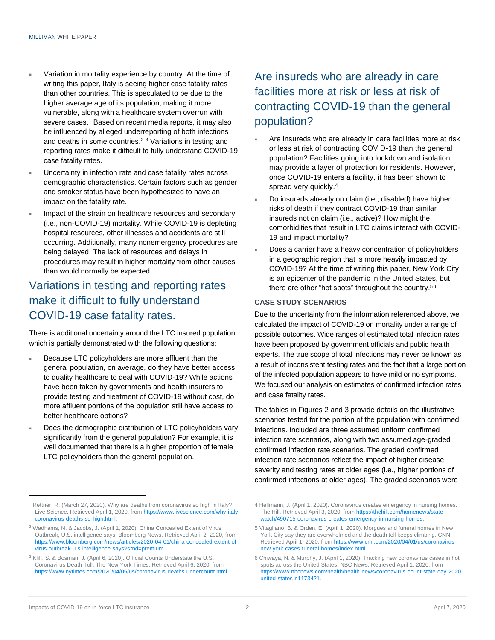- Variation in mortality experience by country. At the time of writing this paper, Italy is seeing higher case fatality rates than other countries. This is speculated to be due to the higher average age of its population, making it more vulnerable, along with a healthcare system overrun with severe cases.<sup>1</sup> Based on recent media reports, it may also be influenced by alleged underreporting of both infections and deaths in some countries.<sup>2 3</sup> Variations in testing and reporting rates make it difficult to fully understand COVID-19 case fatality rates.
- Uncertainty in infection rate and case fatality rates across demographic characteristics. Certain factors such as gender and smoker status have been hypothesized to have an impact on the fatality rate.
- Impact of the strain on healthcare resources and secondary (i.e., non-COVID-19) mortality. While COVID-19 is depleting hospital resources, other illnesses and accidents are still occurring. Additionally, many nonemergency procedures are being delayed. The lack of resources and delays in procedures may result in higher mortality from other causes than would normally be expected.

## Variations in testing and reporting rates make it difficult to fully understand COVID-19 case fatality rates.

There is additional uncertainty around the LTC insured population, which is partially demonstrated with the following questions:

- Because LTC policyholders are more affluent than the general population, on average, do they have better access to quality healthcare to deal with COVID-19? While actions have been taken by governments and health insurers to provide testing and treatment of COVID-19 without cost, do more affluent portions of the population still have access to better healthcare options?
- Does the demographic distribution of LTC policyholders vary significantly from the general population? For example, it is well documented that there is a higher proportion of female LTC policyholders than the general population.

## Are insureds who are already in care facilities more at risk or less at risk of contracting COVID-19 than the general population?

- Are insureds who are already in care facilities more at risk or less at risk of contracting COVID-19 than the general population? Facilities going into lockdown and isolation may provide a layer of protection for residents. However, once COVID-19 enters a facility, it has been shown to spread very quickly.<sup>4</sup>
- Do insureds already on claim (i.e., disabled) have higher risks of death if they contract COVID-19 than similar insureds not on claim (i.e., active)? How might the comorbidities that result in LTC claims interact with COVID-19 and impact mortality?
- Does a carrier have a heavy concentration of policyholders in a geographic region that is more heavily impacted by COVID-19? At the time of writing this paper, New York City is an epicenter of the pandemic in the United States, but there are other "hot spots" throughout the country.<sup>56</sup>

### **CASE STUDY SCENARIOS**

Due to the uncertainty from the information referenced above, we calculated the impact of COVID-19 on mortality under a range of possible outcomes. Wide ranges of estimated total infection rates have been proposed by government officials and public health experts. The true scope of total infections may never be known as a result of inconsistent testing rates and the fact that a large portion of the infected population appears to have mild or no symptoms. We focused our analysis on estimates of confirmed infection rates and case fatality rates.

The tables in Figures 2 and 3 provide details on the illustrative scenarios tested for the portion of the population with confirmed infections. Included are three assumed uniform confirmed infection rate scenarios, along with two assumed age-graded confirmed infection rate scenarios. The graded confirmed infection rate scenarios reflect the impact of higher disease severity and testing rates at older ages (i.e., higher portions of confirmed infections at older ages). The graded scenarios were

<sup>&</sup>lt;sup>1</sup> Rettner, R. (March 27, 2020). Why are deaths from coronavirus so high in Italy? Live Science. Retrieved April 1, 2020, from [https://www.livescience.com/why-italy](https://www.livescience.com/why-italy-coronavirus-deaths-so-high.html)[coronavirus-deaths-so-high.html.](https://www.livescience.com/why-italy-coronavirus-deaths-so-high.html)

<sup>2</sup> Wadhams, N. & Jacobs, J. (April 1, 2020). China Concealed Extent of Virus Outbreak, U.S. intelligence says. Bloomberg News. Retrieved April 2, 2020, from [https://www.bloomberg.com/news/articles/2020-04-01/china-concealed-extent-of](https://www.bloomberg.com/news/articles/2020-04-01/china-concealed-extent-of-virus-outbreak-u-s-intelligence-says?srnd=premium)[virus-outbreak-u-s-intelligence-says?srnd=premium.](https://www.bloomberg.com/news/articles/2020-04-01/china-concealed-extent-of-virus-outbreak-u-s-intelligence-says?srnd=premium)

<sup>3</sup> Kliff, S. & Bosman, J. (April 6, 2020). Official Counts Understate the U.S. Coronavirus Death Toll. The New York Times. Retrieved April 6, 2020, from [https://www.nytimes.com/2020/04/05/us/coronavirus-deaths-undercount.html.](https://www.nytimes.com/2020/04/05/us/coronavirus-deaths-undercount.html)

<sup>4</sup> Hellmann, J. (April 1, 2020). Coronavirus creates emergency in nursing homes. The Hill. Retrieved April 3, 2020, from [https://thehill.com/homenews/state](https://thehill.com/homenews/state-watch/490715-coronavirus-creates-emergency-in-nursing-homes)[watch/490715-coronavirus-creates-emergency-in-nursing-homes.](https://thehill.com/homenews/state-watch/490715-coronavirus-creates-emergency-in-nursing-homes)

<sup>5</sup> Vitagliano, B. & Orden, E. (April 1, 2020). Morgues and funeral homes in New York City say they are overwhelmed and the death toll keeps climbing. CNN. Retrieved April 1, 2020, fro[m https://www.cnn.com/2020/04/01/us/coronavirus](https://www.cnn.com/2020/04/01/us/coronavirus-new-york-cases-funeral-homes/index.html)[new-york-cases-funeral-homes/index.html.](https://www.cnn.com/2020/04/01/us/coronavirus-new-york-cases-funeral-homes/index.html)

<sup>6</sup> Chiwaya, N. & Murphy, J. (April 1, 2020). Tracking new coronavirus cases in hot spots across the United States. NBC News. Retrieved April 1, 2020, from [https://www.nbcnews.com/health/health-news/coronavirus-count-state-day-2020](https://www.nbcnews.com/health/health-news/coronavirus-count-state-day-2020-united-states-n1173421) [united-states-n1173421.](https://www.nbcnews.com/health/health-news/coronavirus-count-state-day-2020-united-states-n1173421)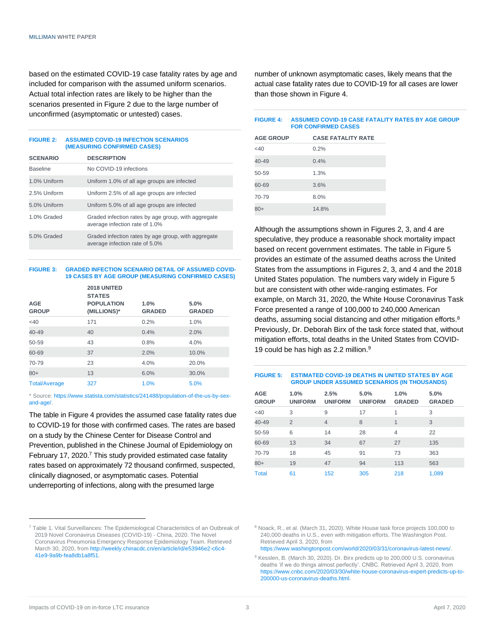based on the estimated COVID-19 case fatality rates by age and included for comparison with the assumed uniform scenarios. Actual total infection rates are likely to be higher than the scenarios presented in Figure 2 due to the large number of unconfirmed (asymptomatic or untested) cases.

#### **FIGURE 2: ASSUMED COVID-19 INFECTION SCENARIOS (MEASURING CONFIRMED CASES)**

| <b>SCENARIO</b> | <b>DESCRIPTION</b>                                                                    |
|-----------------|---------------------------------------------------------------------------------------|
| <b>Baseline</b> | No COVID-19 infections                                                                |
| 1.0% Uniform    | Uniform 1.0% of all age groups are infected                                           |
| 2.5% Uniform    | Uniform 2.5% of all age groups are infected                                           |
| 5.0% Uniform    | Uniform 5.0% of all age groups are infected                                           |
| 1.0% Graded     | Graded infection rates by age group, with aggregate<br>average infection rate of 1.0% |
| 5.0% Graded     | Graded infection rates by age group, with aggregate<br>average infection rate of 5.0% |

#### **FIGURE 3: GRADED INFECTION SCENARIO DETAIL OF ASSUMED COVID-19 CASES BY AGE GROUP (MEASURING CONFIRMED CASES)**

| <b>AGE</b><br><b>GROUP</b> | 2018 UNITED<br><b>STATES</b><br><b>POPULATION</b><br>(MILLIONS)* | 1.0%<br><b>GRADED</b> | 5.0%<br><b>GRADED</b> |
|----------------------------|------------------------------------------------------------------|-----------------------|-----------------------|
| <40                        | 171                                                              | 0.2%                  | 1.0%                  |
| 40-49                      | 40                                                               | 0.4%                  | 2.0%                  |
| 50-59                      | 43                                                               | 0.8%                  | 4.0%                  |
| 60-69                      | 37                                                               | 2.0%                  | 10.0%                 |
| 70-79                      | 23                                                               | 4.0%                  | 20.0%                 |
| $80+$                      | 13                                                               | 6.0%                  | 30.0%                 |
| <b>Total/Average</b>       | 327                                                              | 1.0%                  | 5.0%                  |

\* Source[: https://www.statista.com/statistics/241488/population-of-the-us-by-sex](https://www.statista.com/statistics/241488/population-of-the-us-by-sex-and-age/)and-age/

The table in Figure 4 provides the assumed case fatality rates due to COVID-19 for those with confirmed cases. The rates are based on a study by the Chinese Center for Disease Control and Prevention, published in the Chinese Journal of Epidemiology on February 17, 2020.<sup>7</sup> This study provided estimated case fatality rates based on approximately 72 thousand confirmed, suspected, clinically diagnosed, or asymptomatic cases. Potential underreporting of infections, along with the presumed large

<sup>7</sup> Table 1. Vital Surveillances: The Epidemiological Characteristics of an Outbreak of 2019 Novel Coronavirus Diseases (COVID-19) - China, 2020. The Novel Coronavirus Pneumonia Emergency Response Epidemiology Team. Retrieved March 30, 2020, fro[m http://weekly.chinacdc.cn/en/article/id/e53946e2-c6c4-](http://weekly.chinacdc.cn/en/article/id/e53946e2-c6c4-41e9-9a9b-fea8db1a8f51) [41e9-9a9b-fea8db1a8f51.](http://weekly.chinacdc.cn/en/article/id/e53946e2-c6c4-41e9-9a9b-fea8db1a8f51)

number of unknown asymptomatic cases, likely means that the actual case fatality rates due to COVID-19 for all cases are lower than those shown in Figure 4.

### **FIGURE 4: ASSUMED COVID-19 CASE FATALITY RATES BY AGE GROUP FOR CONFIRMED CASES AGE GROUP CASE FATALITY RATE** <40 0.2% 40-49 0.4% 50-59 1.3% 60-69 3.6% 70-79 8.0%

80+ 14.8%

Although the assumptions shown in Figures 2, 3, and 4 are speculative, they produce a reasonable shock mortality impact based on recent government estimates. The table in Figure 5 provides an estimate of the assumed deaths across the United States from the assumptions in Figures 2, 3, and 4 and the 2018 United States population. The numbers vary widely in Figure 5 but are consistent with other wide-ranging estimates. For example, on March 31, 2020, the White House Coronavirus Task Force presented a range of 100,000 to 240,000 American deaths, assuming social distancing and other mitigation efforts.<sup>8</sup> Previously, Dr. Deborah Birx of the task force stated that, without mitigation efforts, total deaths in the United States from COVID-19 could be has high as 2.2 million.<sup>9</sup>

#### **FIGURE 5: ESTIMATED COVID-19 DEATHS IN UNITED STATES BY AGE GROUP UNDER ASSUMED SCENARIOS (IN THOUSANDS)**

| <b>AGE</b><br><b>GROUP</b> | 1.0%<br><b>UNIFORM</b> | 2.5%<br><b>UNIFORM</b> | 5.0%<br><b>UNIFORM</b> | 1.0%<br><b>GRADED</b> | 5.0%<br><b>GRADED</b> |
|----------------------------|------------------------|------------------------|------------------------|-----------------------|-----------------------|
| $<$ 40                     | 3                      | 9                      | 17                     | 1                     | 3                     |
| 40-49                      | $\overline{2}$         | $\overline{4}$         | 8                      | $\mathbf{1}$          | 3                     |
| 50-59                      | 6                      | 14                     | 28                     | $\overline{4}$        | 22                    |
| 60-69                      | 13                     | 34                     | 67                     | 27                    | 135                   |
| 70-79                      | 18                     | 45                     | 91                     | 73                    | 363                   |
| $80+$                      | 19                     | 47                     | 94                     | 113                   | 563                   |
| <b>Total</b>               | 61                     | 152                    | 305                    | 218                   | 1,089                 |

<sup>8</sup> Noack, R., et al. (March 31, 2020). White House task force projects 100,000 to 240,000 deaths in U.S., even with mitigation efforts. The Washington Post. Retrieved April 3, 2020, from

[https://www.washingtonpost.com/world/2020/03/31/coronavirus-latest-news/.](https://www.washingtonpost.com/world/2020/03/31/coronavirus-latest-news/)

<sup>9</sup> Kesslen, B. (March 30, 2020). Dr. Birx predicts up to 200,000 U.S. coronavirus deaths 'if we do things almost perfectly'. CNBC. Retrieved April 3, 2020, from [https://www.cnbc.com/2020/03/30/white-house-coronavirus-expert-predicts-up-to-](https://www.cnbc.com/2020/03/30/white-house-coronavirus-expert-predicts-up-to-200000-us-coronavirus-deaths.html)[200000-us-coronavirus-deaths.html.](https://www.cnbc.com/2020/03/30/white-house-coronavirus-expert-predicts-up-to-200000-us-coronavirus-deaths.html)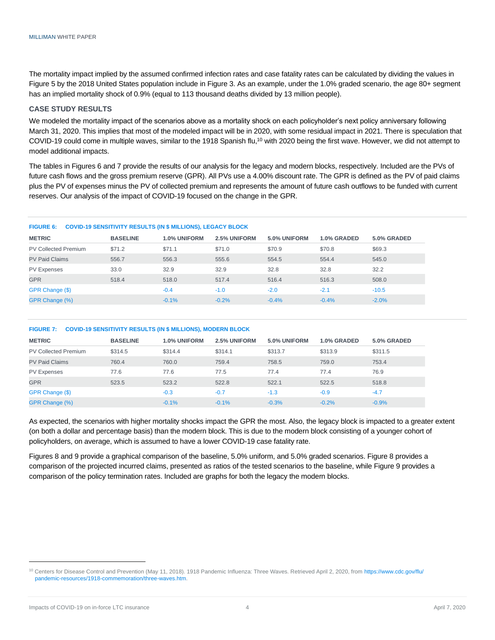The mortality impact implied by the assumed confirmed infection rates and case fatality rates can be calculated by dividing the values in Figure 5 by the 2018 United States population include in Figure 3. As an example, under the 1.0% graded scenario, the age 80+ segment has an implied mortality shock of 0.9% (equal to 113 thousand deaths divided by 13 million people).

### **CASE STUDY RESULTS**

We modeled the mortality impact of the scenarios above as a mortality shock on each policyholder's next policy anniversary following March 31, 2020. This implies that most of the modeled impact will be in 2020, with some residual impact in 2021. There is speculation that COVID-19 could come in multiple waves, similar to the 1918 Spanish flu,<sup>10</sup> with 2020 being the first wave. However, we did not attempt to model additional impacts.

The tables in Figures 6 and 7 provide the results of our analysis for the legacy and modern blocks, respectively. Included are the PVs of future cash flows and the gross premium reserve (GPR). All PVs use a 4.00% discount rate. The GPR is defined as the PV of paid claims plus the PV of expenses minus the PV of collected premium and represents the amount of future cash outflows to be funded with current reserves. Our analysis of the impact of COVID-19 focused on the change in the GPR.

| <b>COVID-19 SENSITIVITY RESULTS (IN \$ MILLIONS), LEGACY BLOCK</b><br><b>FIGURE 6:</b> |                 |                     |                     |              |             |             |
|----------------------------------------------------------------------------------------|-----------------|---------------------|---------------------|--------------|-------------|-------------|
| <b>METRIC</b>                                                                          | <b>BASELINE</b> | <b>1.0% UNIFORM</b> | <b>2.5% UNIFORM</b> | 5.0% UNIFORM | 1.0% GRADED | 5.0% GRADED |
| <b>PV Collected Premium</b>                                                            | \$71.2          | \$71.1              | \$71.0              | \$70.9       | \$70.8      | \$69.3      |
| <b>PV Paid Claims</b>                                                                  | 556.7           | 556.3               | 555.6               | 554.5        | 554.4       | 545.0       |
| <b>PV Expenses</b>                                                                     | 33.0            | 32.9                | 32.9                | 32.8         | 32.8        | 32.2        |
| <b>GPR</b>                                                                             | 518.4           | 518.0               | 517.4               | 516.4        | 516.3       | 508.0       |
| GPR Change (\$)                                                                        |                 | $-0.4$              | $-1.0$              | $-2.0$       | $-2.1$      | $-10.5$     |
| GPR Change (%)                                                                         |                 | $-0.1%$             | $-0.2%$             | $-0.4%$      | $-0.4%$     | $-2.0%$     |

#### **FIGURE 7: COVID-19 SENSITIVITY RESULTS (IN \$ MILLIONS), MODERN BLOCK**

| <b>METRIC</b>               | <b>BASELINE</b> | <b>1.0% UNIFORM</b> | <b>2.5% UNIFORM</b> | 5.0% UNIFORM | 1.0% GRADED | 5.0% GRADED |
|-----------------------------|-----------------|---------------------|---------------------|--------------|-------------|-------------|
| <b>PV Collected Premium</b> | \$314.5         | \$314.4             | \$314.1             | \$313.7      | \$313.9     | \$311.5     |
| <b>PV Paid Claims</b>       | 760.4           | 760.0               | 759.4               | 758.5        | 759.0       | 753.4       |
| <b>PV Expenses</b>          | 77.6            | 77.6                | 77.5                | 77.4         | 77.4        | 76.9        |
| <b>GPR</b>                  | 523.5           | 523.2               | 522.8               | 522.1        | 522.5       | 518.8       |
| GPR Change (\$)             |                 | $-0.3$              | $-0.7$              | $-1.3$       | $-0.9$      | $-4.7$      |
| GPR Change (%)              |                 | $-0.1%$             | $-0.1%$             | $-0.3%$      | $-0.2%$     | $-0.9%$     |

As expected, the scenarios with higher mortality shocks impact the GPR the most. Also, the legacy block is impacted to a greater extent (on both a dollar and percentage basis) than the modern block. This is due to the modern block consisting of a younger cohort of policyholders, on average, which is assumed to have a lower COVID-19 case fatality rate.

Figures 8 and 9 provide a graphical comparison of the baseline, 5.0% uniform, and 5.0% graded scenarios. Figure 8 provides a comparison of the projected incurred claims, presented as ratios of the tested scenarios to the baseline, while Figure 9 provides a comparison of the policy termination rates. Included are graphs for both the legacy the modern blocks.

<sup>&</sup>lt;sup>10</sup> Centers for Disease Control and Prevention (May 11, 2018). 1918 Pandemic Influenza: Three Waves. Retrieved April 2, 2020, fro[m https://www.cdc.gov/flu/](https://www.cdc.gov/flu/pandemic-resources/1918-commemoration/three-waves.htm) [pandemic-resources/1918-commemoration/three-waves.htm.](https://www.cdc.gov/flu/pandemic-resources/1918-commemoration/three-waves.htm)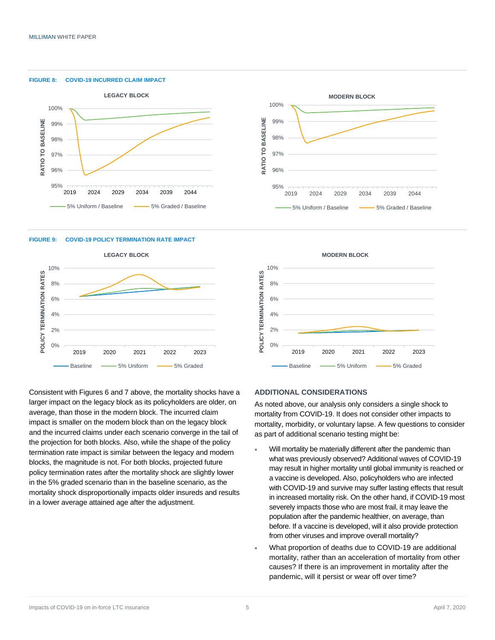#### **FIGURE 8: COVID-19 INCURRED CLAIM IMPACT**



#### **FIGURE 9: COVID-19 POLICY TERMINATION RATE IMPACT**



Consistent with Figures 6 and 7 above, the mortality shocks have a larger impact on the legacy block as its policyholders are older, on average, than those in the modern block. The incurred claim impact is smaller on the modern block than on the legacy block and the incurred claims under each scenario converge in the tail of the projection for both blocks. Also, while the shape of the policy termination rate impact is similar between the legacy and modern blocks, the magnitude is not. For both blocks, projected future policy termination rates after the mortality shock are slightly lower in the 5% graded scenario than in the baseline scenario, as the mortality shock disproportionally impacts older insureds and results in a lower average attained age after the adjustment.



## **MODERN BLOCK** 10% POLICY TERMINATION RATES **POLICY TERMINATION RATES** 8% 6% 4% 2% 0% 2019 2020 2021 2022 2023 Baseline - 5% Uniform - 5% Graded

### **ADDITIONAL CONSIDERATIONS**

As noted above, our analysis only considers a single shock to mortality from COVID-19. It does not consider other impacts to mortality, morbidity, or voluntary lapse. A few questions to consider as part of additional scenario testing might be:

- Will mortality be materially different after the pandemic than what was previously observed? Additional waves of COVID-19 may result in higher mortality until global immunity is reached or a vaccine is developed. Also, policyholders who are infected with COVID-19 and survive may suffer lasting effects that result in increased mortality risk. On the other hand, if COVID-19 most severely impacts those who are most frail, it may leave the population after the pandemic healthier, on average, than before. If a vaccine is developed, will it also provide protection from other viruses and improve overall mortality?
- What proportion of deaths due to COVID-19 are additional mortality, rather than an acceleration of mortality from other causes? If there is an improvement in mortality after the pandemic, will it persist or wear off over time?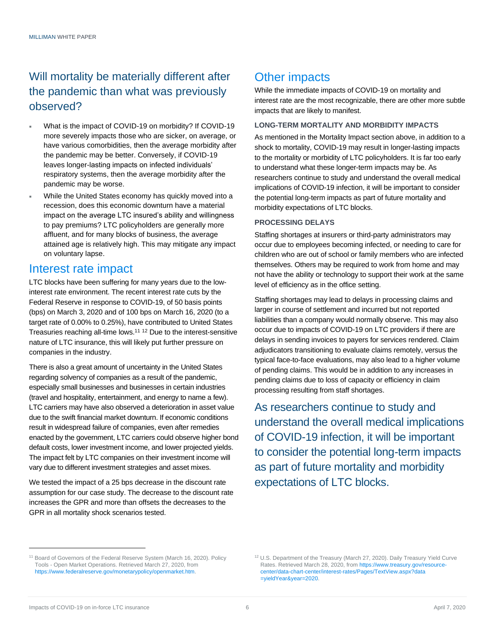## Will mortality be materially different after the pandemic than what was previously observed?

- What is the impact of COVID-19 on morbidity? If COVID-19 more severely impacts those who are sicker, on average, or have various comorbidities, then the average morbidity after the pandemic may be better. Conversely, if COVID-19 leaves longer-lasting impacts on infected individuals' respiratory systems, then the average morbidity after the pandemic may be worse.
- While the United States economy has quickly moved into a recession, does this economic downturn have a material impact on the average LTC insured's ability and willingness to pay premiums? LTC policyholders are generally more affluent, and for many blocks of business, the average attained age is relatively high. This may mitigate any impact on voluntary lapse.

## Interest rate impact

LTC blocks have been suffering for many years due to the lowinterest rate environment. The recent interest rate cuts by the Federal Reserve in response to COVID-19, of 50 basis points (bps) on March 3, 2020 and of 100 bps on March 16, 2020 (to a target rate of 0.00% to 0.25%), have contributed to United States Treasuries reaching all-time lows.<sup>11</sup> <sup>12</sup> Due to the interest-sensitive nature of LTC insurance, this will likely put further pressure on companies in the industry.

There is also a great amount of uncertainty in the United States regarding solvency of companies as a result of the pandemic, especially small businesses and businesses in certain industries (travel and hospitality, entertainment, and energy to name a few). LTC carriers may have also observed a deterioration in asset value due to the swift financial market downturn. If economic conditions result in widespread failure of companies, even after remedies enacted by the government, LTC carriers could observe higher bond default costs, lower investment income, and lower projected yields. The impact felt by LTC companies on their investment income will vary due to different investment strategies and asset mixes.

We tested the impact of a 25 bps decrease in the discount rate assumption for our case study. The decrease to the discount rate increases the GPR and more than offsets the decreases to the GPR in all mortality shock scenarios tested.

## Other impacts

While the immediate impacts of COVID-19 on mortality and interest rate are the most recognizable, there are other more subtle impacts that are likely to manifest.

### **LONG-TERM MORTALITY AND MORBIDITY IMPACTS**

As mentioned in the Mortality Impact section above, in addition to a shock to mortality, COVID-19 may result in longer-lasting impacts to the mortality or morbidity of LTC policyholders. It is far too early to understand what these longer-term impacts may be. As researchers continue to study and understand the overall medical implications of COVID-19 infection, it will be important to consider the potential long-term impacts as part of future mortality and morbidity expectations of LTC blocks.

### **PROCESSING DELAYS**

Staffing shortages at insurers or third-party administrators may occur due to employees becoming infected, or needing to care for children who are out of school or family members who are infected themselves. Others may be required to work from home and may not have the ability or technology to support their work at the same level of efficiency as in the office setting.

Staffing shortages may lead to delays in processing claims and larger in course of settlement and incurred but not reported liabilities than a company would normally observe. This may also occur due to impacts of COVID-19 on LTC providers if there are delays in sending invoices to payers for services rendered. Claim adjudicators transitioning to evaluate claims remotely, versus the typical face-to-face evaluations, may also lead to a higher volume of pending claims. This would be in addition to any increases in pending claims due to loss of capacity or efficiency in claim processing resulting from staff shortages.

As researchers continue to study and understand the overall medical implications of COVID-19 infection, it will be important to consider the potential long-term impacts as part of future mortality and morbidity expectations of LTC blocks.

<sup>&</sup>lt;sup>11</sup> Board of Governors of the Federal Reserve System (March 16, 2020). Policy Tools - Open Market Operations. Retrieved March 27, 2020, from [https://www.federalreserve.gov/monetarypolicy/openmarket.htm.](https://www.federalreserve.gov/monetarypolicy/openmarket.htm)

<sup>&</sup>lt;sup>12</sup> U.S. Department of the Treasury (March 27, 2020). Daily Treasury Yield Curve Rates. Retrieved March 28, 2020, fro[m https://www.treasury.gov/resource](https://www.treasury.gov/resource-center/data-chart-center/interest-rates/Pages/TextView.aspx?data=yieldYear&year=2020)[center/data-chart-center/interest-rates/Pages/TextView.aspx?data](https://www.treasury.gov/resource-center/data-chart-center/interest-rates/Pages/TextView.aspx?data=yieldYear&year=2020) [=yieldYear&year=2020.](https://www.treasury.gov/resource-center/data-chart-center/interest-rates/Pages/TextView.aspx?data=yieldYear&year=2020)